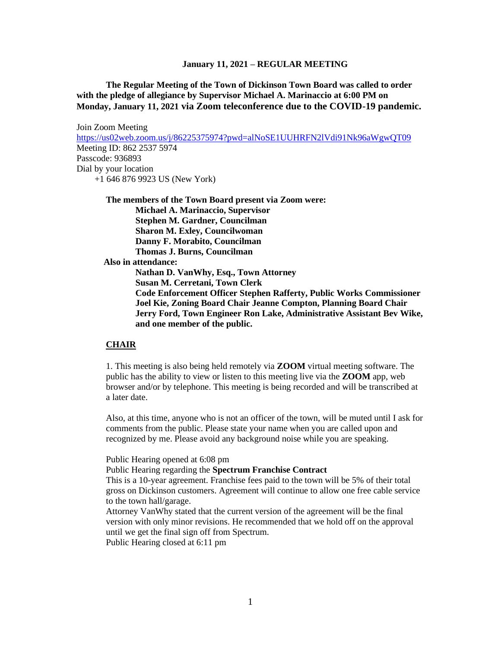**The Regular Meeting of the Town of Dickinson Town Board was called to order with the pledge of allegiance by Supervisor Michael A. Marinaccio at 6:00 PM on Monday, January 11, 2021 via Zoom teleconference due to the COVID-19 pandemic.** 

Join Zoom Meeting <https://us02web.zoom.us/j/86225375974?pwd=alNoSE1UUHRFN2lVdi91Nk96aWgwQT09> Meeting ID: 862 2537 5974 Passcode: 936893 Dial by your location +1 646 876 9923 US (New York)

**The members of the Town Board present via Zoom were: Michael A. Marinaccio, Supervisor Stephen M. Gardner, Councilman Sharon M. Exley, Councilwoman Danny F. Morabito, Councilman Thomas J. Burns, Councilman Also in attendance:**

**Nathan D. VanWhy, Esq., Town Attorney Susan M. Cerretani, Town Clerk Code Enforcement Officer Stephen Rafferty, Public Works Commissioner Joel Kie, Zoning Board Chair Jeanne Compton, Planning Board Chair Jerry Ford, Town Engineer Ron Lake, Administrative Assistant Bev Wike, and one member of the public.**

#### **CHAIR**

1. This meeting is also being held remotely via **ZOOM** virtual meeting software. The public has the ability to view or listen to this meeting live via the **ZOOM** app, web browser and/or by telephone. This meeting is being recorded and will be transcribed at a later date.

Also, at this time, anyone who is not an officer of the town, will be muted until I ask for comments from the public. Please state your name when you are called upon and recognized by me. Please avoid any background noise while you are speaking.

Public Hearing opened at 6:08 pm

Public Hearing regarding the **Spectrum Franchise Contract**

This is a 10-year agreement. Franchise fees paid to the town will be 5% of their total gross on Dickinson customers. Agreement will continue to allow one free cable service to the town hall/garage.

Attorney VanWhy stated that the current version of the agreement will be the final version with only minor revisions. He recommended that we hold off on the approval until we get the final sign off from Spectrum.

Public Hearing closed at 6:11 pm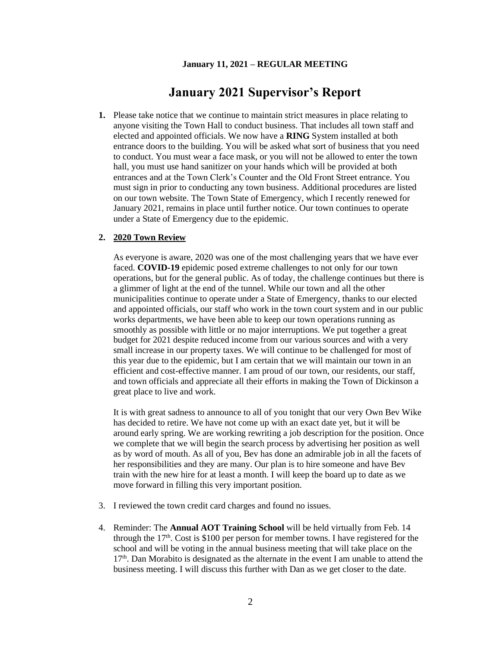# **January 2021 Supervisor's Report**

**1.** Please take notice that we continue to maintain strict measures in place relating to anyone visiting the Town Hall to conduct business. That includes all town staff and elected and appointed officials. We now have a **RING** System installed at both entrance doors to the building. You will be asked what sort of business that you need to conduct. You must wear a face mask, or you will not be allowed to enter the town hall, you must use hand sanitizer on your hands which will be provided at both entrances and at the Town Clerk's Counter and the Old Front Street entrance. You must sign in prior to conducting any town business. Additional procedures are listed on our town website. The Town State of Emergency, which I recently renewed for January 2021, remains in place until further notice. Our town continues to operate under a State of Emergency due to the epidemic.

#### **2. 2020 Town Review**

As everyone is aware, 2020 was one of the most challenging years that we have ever faced. **COVID-19** epidemic posed extreme challenges to not only for our town operations, but for the general public. As of today, the challenge continues but there is a glimmer of light at the end of the tunnel. While our town and all the other municipalities continue to operate under a State of Emergency, thanks to our elected and appointed officials, our staff who work in the town court system and in our public works departments, we have been able to keep our town operations running as smoothly as possible with little or no major interruptions. We put together a great budget for 2021 despite reduced income from our various sources and with a very small increase in our property taxes. We will continue to be challenged for most of this year due to the epidemic, but I am certain that we will maintain our town in an efficient and cost-effective manner. I am proud of our town, our residents, our staff, and town officials and appreciate all their efforts in making the Town of Dickinson a great place to live and work.

It is with great sadness to announce to all of you tonight that our very Own Bev Wike has decided to retire. We have not come up with an exact date yet, but it will be around early spring. We are working rewriting a job description for the position. Once we complete that we will begin the search process by advertising her position as well as by word of mouth. As all of you, Bev has done an admirable job in all the facets of her responsibilities and they are many. Our plan is to hire someone and have Bev train with the new hire for at least a month. I will keep the board up to date as we move forward in filling this very important position.

- 3. I reviewed the town credit card charges and found no issues.
- 4. Reminder: The **Annual AOT Training School** will be held virtually from Feb. 14 through the  $17<sup>th</sup>$ . Cost is \$100 per person for member towns. I have registered for the school and will be voting in the annual business meeting that will take place on the  $17<sup>th</sup>$ . Dan Morabito is designated as the alternate in the event I am unable to attend the business meeting. I will discuss this further with Dan as we get closer to the date.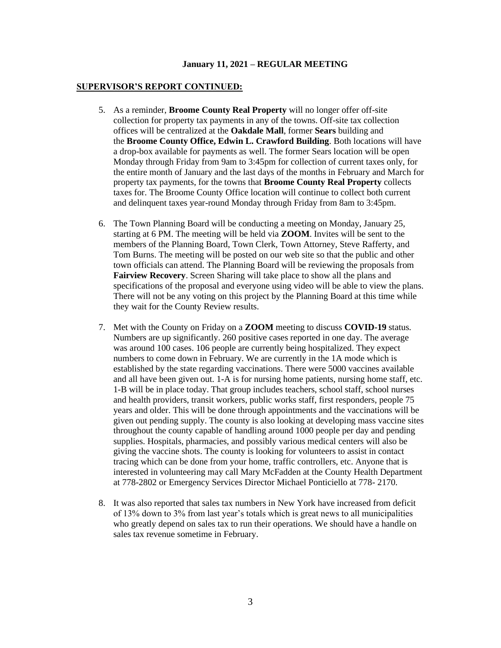#### **SUPERVISOR'S REPORT CONTINUED:**

- 5. As a reminder, **Broome County Real Property** will no longer offer off-site collection for property tax payments in any of the towns. Off-site tax collection offices will be centralized at the **Oakdale Mall**, former **Sears** building and the **Broome County Office, Edwin L. Crawford Building**. Both locations will have a drop-box available for payments as well. The former Sears location will be open Monday through Friday from 9am to 3:45pm for collection of current taxes only, for the entire month of January and the last days of the months in February and March for property tax payments, for the towns that **Broome County Real Property** collects taxes for. The Broome County Office location will continue to collect both current and delinquent taxes year-round Monday through Friday from 8am to 3:45pm.
- 6. The Town Planning Board will be conducting a meeting on Monday, January 25, starting at 6 PM. The meeting will be held via **ZOOM**. Invites will be sent to the members of the Planning Board, Town Clerk, Town Attorney, Steve Rafferty, and Tom Burns. The meeting will be posted on our web site so that the public and other town officials can attend. The Planning Board will be reviewing the proposals from **Fairview Recovery**. Screen Sharing will take place to show all the plans and specifications of the proposal and everyone using video will be able to view the plans. There will not be any voting on this project by the Planning Board at this time while they wait for the County Review results.
- 7. Met with the County on Friday on a **ZOOM** meeting to discuss **COVID-19** status. Numbers are up significantly. 260 positive cases reported in one day. The average was around 100 cases. 106 people are currently being hospitalized. They expect numbers to come down in February. We are currently in the 1A mode which is established by the state regarding vaccinations. There were 5000 vaccines available and all have been given out. 1-A is for nursing home patients, nursing home staff, etc. 1-B will be in place today. That group includes teachers, school staff, school nurses and health providers, transit workers, public works staff, first responders, people 75 years and older. This will be done through appointments and the vaccinations will be given out pending supply. The county is also looking at developing mass vaccine sites throughout the county capable of handling around 1000 people per day and pending supplies. Hospitals, pharmacies, and possibly various medical centers will also be giving the vaccine shots. The county is looking for volunteers to assist in contact tracing which can be done from your home, traffic controllers, etc. Anyone that is interested in volunteering may call Mary McFadden at the County Health Department at 778-2802 or Emergency Services Director Michael Ponticiello at 778- 2170.
- 8. It was also reported that sales tax numbers in New York have increased from deficit of 13% down to 3% from last year's totals which is great news to all municipalities who greatly depend on sales tax to run their operations. We should have a handle on sales tax revenue sometime in February.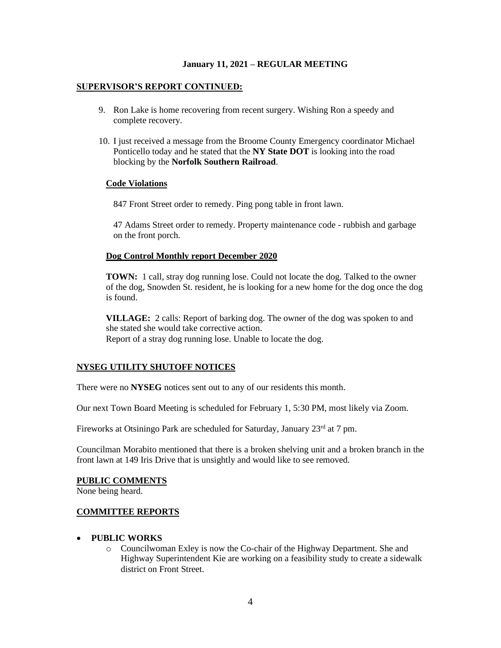#### **SUPERVISOR'S REPORT CONTINUED:**

- 9. Ron Lake is home recovering from recent surgery. Wishing Ron a speedy and complete recovery.
- 10. I just received a message from the Broome County Emergency coordinator Michael Ponticello today and he stated that the **NY State DOT** is looking into the road blocking by the **Norfolk Southern Railroad**.

#### **Code Violations**

847 Front Street order to remedy. Ping pong table in front lawn.

47 Adams Street order to remedy. Property maintenance code - rubbish and garbage on the front porch.

### **Dog Control Monthly report December 2020**

**TOWN:** 1 call, stray dog running lose. Could not locate the dog. Talked to the owner of the dog, Snowden St. resident, he is looking for a new home for the dog once the dog is found.

**VILLAGE:** 2 calls: Report of barking dog. The owner of the dog was spoken to and she stated she would take corrective action. Report of a stray dog running lose. Unable to locate the dog.

### **NYSEG UTILITY SHUTOFF NOTICES**

There were no **NYSEG** notices sent out to any of our residents this month.

Our next Town Board Meeting is scheduled for February 1, 5:30 PM, most likely via Zoom.

Fireworks at Otsiningo Park are scheduled for Saturday, January 23<sup>rd</sup> at 7 pm.

Councilman Morabito mentioned that there is a broken shelving unit and a broken branch in the front lawn at 149 Iris Drive that is unsightly and would like to see removed.

#### **PUBLIC COMMENTS**

None being heard.

#### **COMMITTEE REPORTS**

#### • **PUBLIC WORKS**

o Councilwoman Exley is now the Co-chair of the Highway Department. She and Highway Superintendent Kie are working on a feasibility study to create a sidewalk district on Front Street.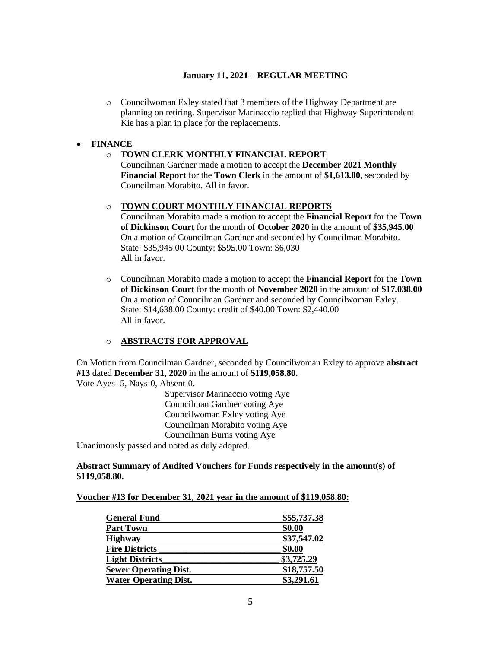o Councilwoman Exley stated that 3 members of the Highway Department are planning on retiring. Supervisor Marinaccio replied that Highway Superintendent Kie has a plan in place for the replacements.

# • **FINANCE**

# o **TOWN CLERK MONTHLY FINANCIAL REPORT**

Councilman Gardner made a motion to accept the **December 2021 Monthly Financial Report** for the **Town Clerk** in the amount of **\$1,613.00,** seconded by Councilman Morabito. All in favor.

### o **TOWN COURT MONTHLY FINANCIAL REPORTS**

Councilman Morabito made a motion to accept the **Financial Report** for the **Town of Dickinson Court** for the month of **October 2020** in the amount of **\$35,945.00** On a motion of Councilman Gardner and seconded by Councilman Morabito. State: \$35,945.00 County: \$595.00 Town: \$6,030 All in favor.

o Councilman Morabito made a motion to accept the **Financial Report** for the **Town of Dickinson Court** for the month of **November 2020** in the amount of **\$17,038.00** On a motion of Councilman Gardner and seconded by Councilwoman Exley. State: \$14,638.00 County: credit of \$40.00 Town: \$2,440.00 All in favor.

# o **ABSTRACTS FOR APPROVAL**

On Motion from Councilman Gardner, seconded by Councilwoman Exley to approve **abstract #13** dated **December 31, 2020** in the amount of **\$119,058.80.** Vote Ayes- 5, Nays-0, Absent-0.

Supervisor Marinaccio voting Aye Councilman Gardner voting Aye Councilwoman Exley voting Aye Councilman Morabito voting Aye Councilman Burns voting Aye

Unanimously passed and noted as duly adopted.

### **Abstract Summary of Audited Vouchers for Funds respectively in the amount(s) of \$119,058.80.**

#### **Voucher #13 for December 31, 2021 year in the amount of \$119,058.80:**

| <b>General Fund</b>          | \$55,737.38 |
|------------------------------|-------------|
| <b>Part Town</b>             | \$0.00      |
| <b>Highway</b>               | \$37,547.02 |
| <b>Fire Districts</b>        | \$0.00      |
| <b>Light Districts</b>       | \$3,725.29  |
| <b>Sewer Operating Dist.</b> | \$18,757.50 |
| <b>Water Operating Dist.</b> | \$3,291.61  |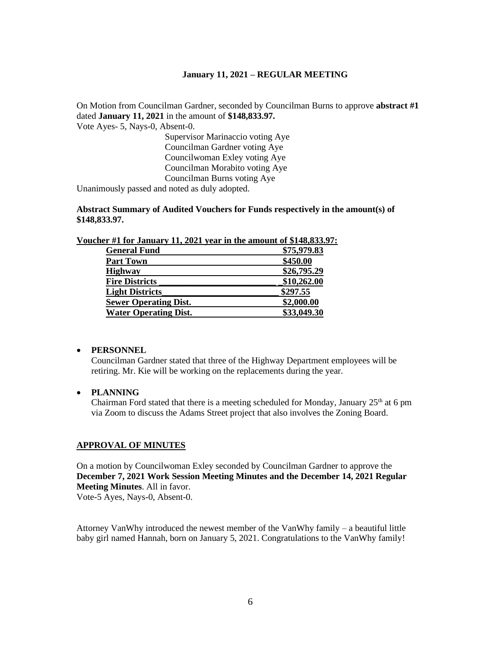On Motion from Councilman Gardner, seconded by Councilman Burns to approve **abstract #1**  dated **January 11, 2021** in the amount of **\$148,833.97.**

Vote Ayes- 5, Nays-0, Absent-0.

Supervisor Marinaccio voting Aye Councilman Gardner voting Aye Councilwoman Exley voting Aye Councilman Morabito voting Aye Councilman Burns voting Aye

Unanimously passed and noted as duly adopted.

**Abstract Summary of Audited Vouchers for Funds respectively in the amount(s) of \$148,833.97.**

| icher #1 for January 11, 2021 year in the amount of \$148,833.97 |             |
|------------------------------------------------------------------|-------------|
| <b>General Fund</b>                                              | \$75,979.83 |
| <b>Part Town</b>                                                 | \$450.00    |
| <b>Highway</b>                                                   | \$26,795.29 |
| <b>Fire Districts</b>                                            | \$10,262.00 |
| <b>Light Districts</b>                                           | \$297.55    |
| <b>Sewer Operating Dist.</b>                                     | \$2,000.00  |
| <b>Water Operating Dist.</b>                                     | \$33,049.30 |
|                                                                  |             |

**Voucher #1 for January 11, 2021 year in the amount of \$148,833.97:** 

#### • **PERSONNEL**

Councilman Gardner stated that three of the Highway Department employees will be retiring. Mr. Kie will be working on the replacements during the year.

### • **PLANNING**

Chairman Ford stated that there is a meeting scheduled for Monday, January  $25<sup>th</sup>$  at 6 pm via Zoom to discuss the Adams Street project that also involves the Zoning Board.

### **APPROVAL OF MINUTES**

On a motion by Councilwoman Exley seconded by Councilman Gardner to approve the **December 7, 2021 Work Session Meeting Minutes and the December 14, 2021 Regular Meeting Minutes**. All in favor. Vote-5 Ayes, Nays-0, Absent-0.

Attorney VanWhy introduced the newest member of the VanWhy family – a beautiful little baby girl named Hannah, born on January 5, 2021. Congratulations to the VanWhy family!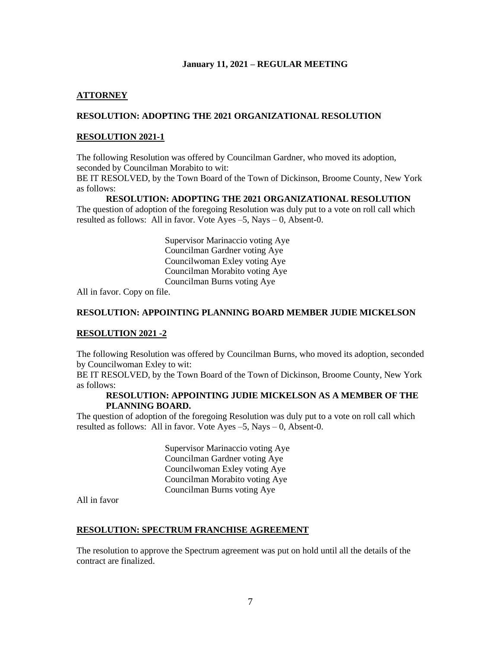### **ATTORNEY**

### **RESOLUTION: ADOPTING THE 2021 ORGANIZATIONAL RESOLUTION**

### **RESOLUTION 2021-1**

The following Resolution was offered by Councilman Gardner, who moved its adoption, seconded by Councilman Morabito to wit:

BE IT RESOLVED, by the Town Board of the Town of Dickinson, Broome County, New York as follows:

#### **RESOLUTION: ADOPTING THE 2021 ORGANIZATIONAL RESOLUTION**

The question of adoption of the foregoing Resolution was duly put to a vote on roll call which resulted as follows: All in favor. Vote Ayes –5, Nays – 0, Absent-0.

> Supervisor Marinaccio voting Aye Councilman Gardner voting Aye Councilwoman Exley voting Aye Councilman Morabito voting Aye Councilman Burns voting Aye

All in favor. Copy on file.

### **RESOLUTION: APPOINTING PLANNING BOARD MEMBER JUDIE MICKELSON**

#### **RESOLUTION 2021 -2**

The following Resolution was offered by Councilman Burns, who moved its adoption, seconded by Councilwoman Exley to wit:

BE IT RESOLVED, by the Town Board of the Town of Dickinson, Broome County, New York as follows:

#### **RESOLUTION: APPOINTING JUDIE MICKELSON AS A MEMBER OF THE PLANNING BOARD.**

The question of adoption of the foregoing Resolution was duly put to a vote on roll call which resulted as follows: All in favor. Vote Ayes –5, Nays – 0, Absent-0.

> Supervisor Marinaccio voting Aye Councilman Gardner voting Aye Councilwoman Exley voting Aye Councilman Morabito voting Aye Councilman Burns voting Aye

All in favor

#### **RESOLUTION: SPECTRUM FRANCHISE AGREEMENT**

The resolution to approve the Spectrum agreement was put on hold until all the details of the contract are finalized.